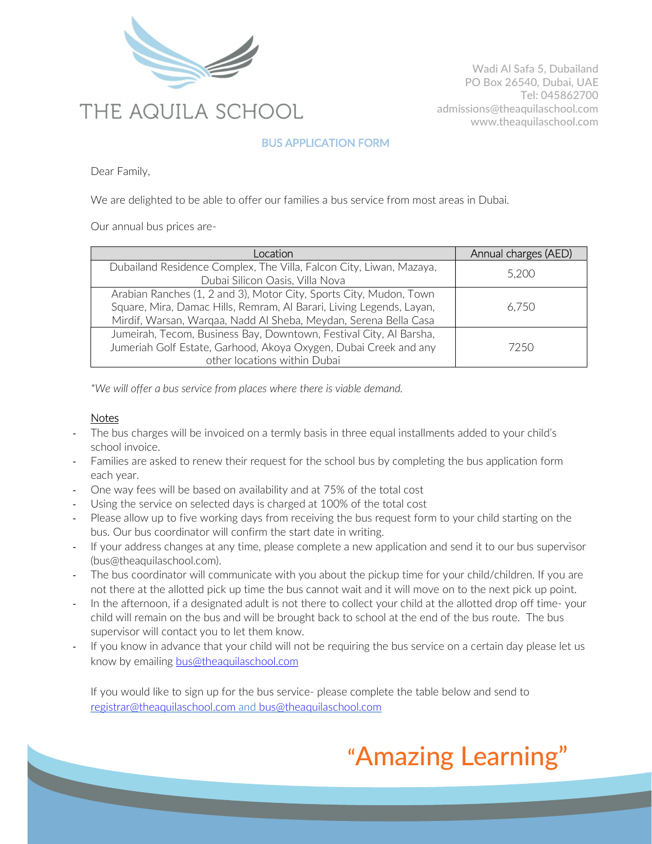

Wadi Al Safa 5, Dubailand PO Box 26540, Dubai, UAE Tel: 045862700 admissions@theaquilaschool.com www.theaquilaschool.com

### BUS APPLICATION FORM

Dear Family,

We are delighted to be able to offer our families a bus service from most areas in Dubai.

Our annual bus prices are-

| cation <sup>®</sup>                                                                                                                                                                                            | Annual charges (AED) |
|----------------------------------------------------------------------------------------------------------------------------------------------------------------------------------------------------------------|----------------------|
| Dubailand Residence Complex, The Villa, Falcon City, Liwan, Mazaya,<br>Dubai Silicon Oasis, Villa Nova                                                                                                         | 5,200                |
| Arabian Ranches (1, 2 and 3), Motor City, Sports City, Mudon, Town<br>Square, Mira, Damac Hills, Remram, Al Barari, Living Legends, Layan,<br>Mirdif, Warsan, Warqaa, Nadd Al Sheba, Meydan, Serena Bella Casa | 6,750                |
| Jumeirah, Tecom, Business Bay, Downtown, Festival City, Al Barsha,<br>Jumeriah Golf Estate, Garhood, Akoya Oxygen, Dubai Creek and any<br>other locations within Dubai                                         | 7250                 |

\*We will offer a bus service from places where there is viable demand.

#### **Notes**

- The bus charges will be invoiced on a termly basis in three equal installments added to your child's school invoice.
- Families are asked to renew their request for the school bus by completing the bus application form each year.
- One way fees will be based on availability and at 75% of the total cost
- Using the service on selected days is charged at 100% of the total cost
- Please allow up to five working days from receiving the bus request form to your child starting on the bus. Our bus coordinator will confirm the start date in writing.
- If your address changes at any time, please complete a new application and send it to our bus supervisor (bus@theaquilaschool.com).
- The bus coordinator will communicate with you about the pickup time for your child/children. If you are not there at the allotted pick up time the bus cannot wait and it will move on to the next pick up point.
- In the afternoon, if a designated adult is not there to collect your child at the allotted drop off time- your child will remain on the bus and will be brought back to school at the end of the bus route. The bus supervisor will contact you to let them know.
- If you know in advance that your child will not be requiring the bus service on a certain day please let us know by emailing bus@theaquilaschool.com

If you would like to sign up for the bus service- please complete the table below and send to registrar@theaquilaschool.com and bus@theaquilaschool.com

# "Amazing Learning"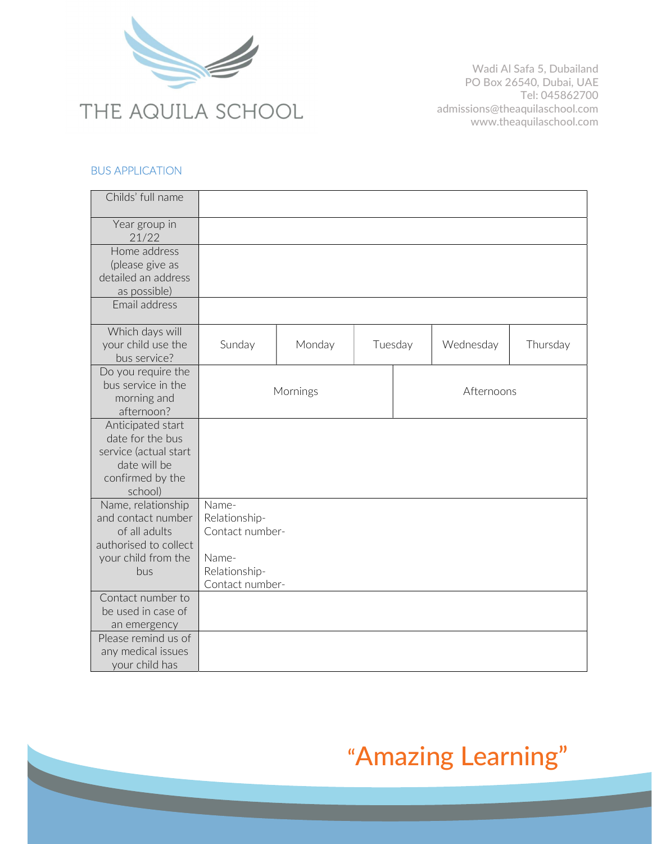

Wadi Al Safa 5, Dubailand PO Box 26540, Dubai, UAE Tel: 045862700 admissions@theaquilaschool.com www.theaquilaschool.com

#### BUS APPLICATION

| Childs' full name                     |                        |        |  |         |           |          |
|---------------------------------------|------------------------|--------|--|---------|-----------|----------|
| Year group in                         |                        |        |  |         |           |          |
| 21/22                                 |                        |        |  |         |           |          |
| Home address                          |                        |        |  |         |           |          |
| (please give as                       |                        |        |  |         |           |          |
| detailed an address                   |                        |        |  |         |           |          |
| as possible)                          |                        |        |  |         |           |          |
| Email address                         |                        |        |  |         |           |          |
|                                       |                        |        |  |         |           |          |
| Which days will                       |                        |        |  |         |           |          |
| your child use the                    | Sunday                 | Monday |  | Tuesday | Wednesday | Thursday |
| bus service?                          |                        |        |  |         |           |          |
| Do you require the                    |                        |        |  |         |           |          |
| bus service in the                    | Mornings<br>Afternoons |        |  |         |           |          |
| morning and                           |                        |        |  |         |           |          |
| afternoon?                            |                        |        |  |         |           |          |
| Anticipated start<br>date for the bus |                        |        |  |         |           |          |
| service (actual start                 |                        |        |  |         |           |          |
| date will be                          |                        |        |  |         |           |          |
| confirmed by the                      |                        |        |  |         |           |          |
| school)                               |                        |        |  |         |           |          |
| Name, relationship                    | Name-                  |        |  |         |           |          |
| and contact number                    | Relationship-          |        |  |         |           |          |
| of all adults                         | Contact number-        |        |  |         |           |          |
| authorised to collect                 |                        |        |  |         |           |          |
| your child from the                   | Name-                  |        |  |         |           |          |
| bus                                   | Relationship-          |        |  |         |           |          |
|                                       | Contact number-        |        |  |         |           |          |
| Contact number to                     |                        |        |  |         |           |          |
| be used in case of                    |                        |        |  |         |           |          |
| an emergency                          |                        |        |  |         |           |          |
| Please remind us of                   |                        |        |  |         |           |          |
| any medical issues<br>your child has  |                        |        |  |         |           |          |
|                                       |                        |        |  |         |           |          |

# "Amazing Learning"